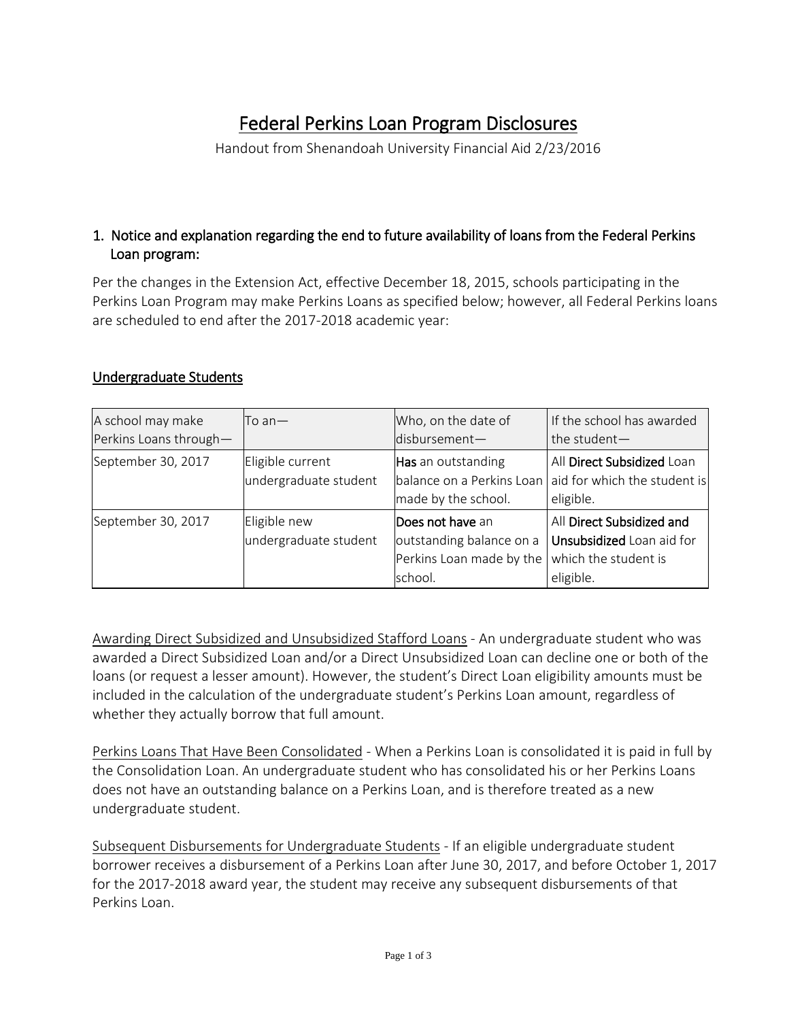# Federal Perkins Loan Program Disclosures

Handout from Shenandoah University Financial Aid 2/23/2016

### 1. Notice and explanation regarding the end to future availability of loans from the Federal Perkins Loan program:

Per the changes in the Extension Act, effective December 18, 2015, schools participating in the Perkins Loan Program may make Perkins Loans as specified below; however, all Federal Perkins loans are scheduled to end after the 2017-2018 academic year:

#### Undergraduate Students

| A school may make      | $\mathsf{T}$ o an $-$ | Who, on the date of      | If the school has awarded                              |
|------------------------|-----------------------|--------------------------|--------------------------------------------------------|
| Perkins Loans through- |                       | disbursement-            | the student-                                           |
| September 30, 2017     | Eligible current      | Has an outstanding       | All Direct Subsidized Loan                             |
|                        | undergraduate student |                          | balance on a Perkins Loan aid for which the student is |
|                        |                       | made by the school.      | eligible.                                              |
| September 30, 2017     | Eligible new          | Does not have an         | All Direct Subsidized and                              |
|                        | undergraduate student | outstanding balance on a | Unsubsidized Loan aid for                              |
|                        |                       | Perkins Loan made by the | which the student is                                   |
|                        |                       | school.                  | eligible.                                              |

Awarding Direct Subsidized and Unsubsidized Stafford Loans - An undergraduate student who was awarded a Direct Subsidized Loan and/or a Direct Unsubsidized Loan can decline one or both of the loans (or request a lesser amount). However, the student's Direct Loan eligibility amounts must be included in the calculation of the undergraduate student's Perkins Loan amount, regardless of whether they actually borrow that full amount.

Perkins Loans That Have Been Consolidated - When a Perkins Loan is consolidated it is paid in full by the Consolidation Loan. An undergraduate student who has consolidated his or her Perkins Loans does not have an outstanding balance on a Perkins Loan, and is therefore treated as a new undergraduate student.

Subsequent Disbursements for Undergraduate Students - If an eligible undergraduate student borrower receives a disbursement of a Perkins Loan after June 30, 2017, and before October 1, 2017 for the 2017-2018 award year, the student may receive any subsequent disbursements of that Perkins Loan.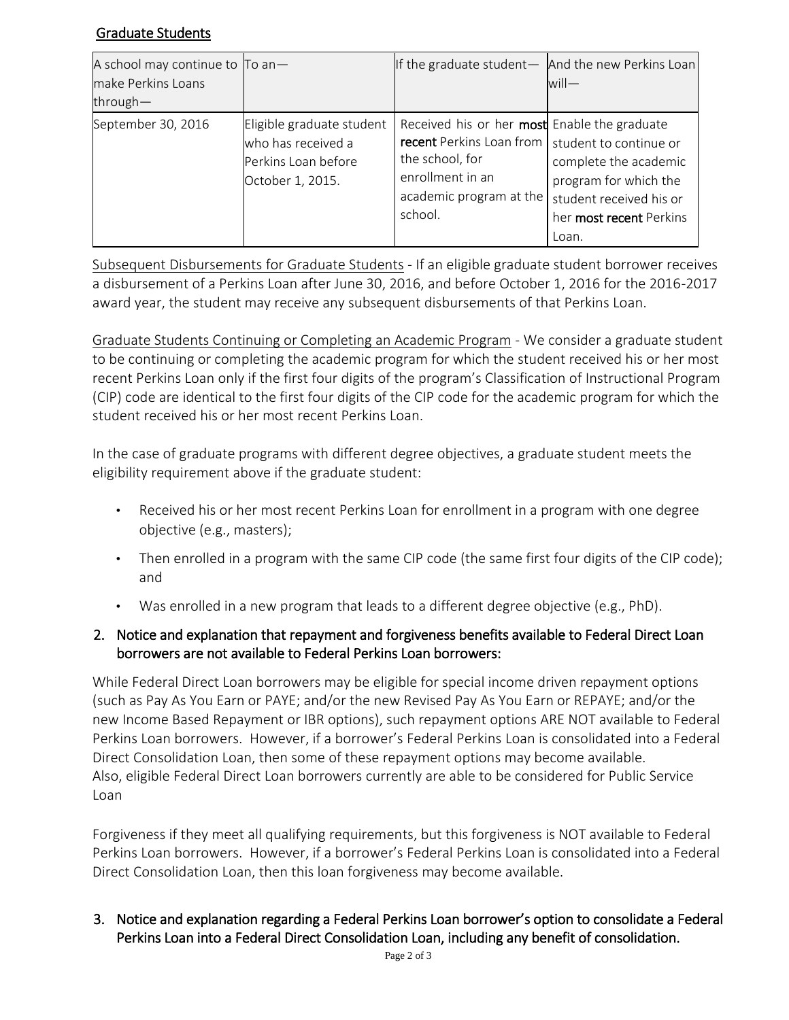## Graduate Students

| A school may continue to $\Box$ To an -<br>make Perkins Loans<br>through $-$ |                                                                                            | If the graduate student $-$ And the new Perkins Loan                                                                                                                           | $will$ —                                                                                                      |
|------------------------------------------------------------------------------|--------------------------------------------------------------------------------------------|--------------------------------------------------------------------------------------------------------------------------------------------------------------------------------|---------------------------------------------------------------------------------------------------------------|
| September 30, 2016                                                           | Eligible graduate student<br>who has received a<br>Perkins Loan before<br>October 1, 2015. | Received his or her most Enable the graduate<br>recent Perkins Loan from   student to continue or<br>the school, for<br>enrollment in an<br>academic program at the<br>school. | complete the academic<br>program for which the<br>student received his or<br>her most recent Perkins<br>Loan. |

Subsequent Disbursements for Graduate Students - If an eligible graduate student borrower receives a disbursement of a Perkins Loan after June 30, 2016, and before October 1, 2016 for the 2016-2017 award year, the student may receive any subsequent disbursements of that Perkins Loan.

Graduate Students Continuing or Completing an Academic Program - We consider a graduate student to be continuing or completing the academic program for which the student received his or her most recent Perkins Loan only if the first four digits of the program's Classification of Instructional Program (CIP) code are identical to the first four digits of the CIP code for the academic program for which the student received his or her most recent Perkins Loan.

In the case of graduate programs with different degree objectives, a graduate student meets the eligibility requirement above if the graduate student:

- Received his or her most recent Perkins Loan for enrollment in a program with one degree objective (e.g., masters);
- Then enrolled in a program with the same CIP code (the same first four digits of the CIP code); and
- Was enrolled in a new program that leads to a different degree objective (e.g., PhD).

## 2. Notice and explanation that repayment and forgiveness benefits available to Federal Direct Loan borrowers are not available to Federal Perkins Loan borrowers:

While Federal Direct Loan borrowers may be eligible for special income driven repayment options (such as Pay As You Earn or PAYE; and/or the new Revised Pay As You Earn or REPAYE; and/or the new Income Based Repayment or IBR options), such repayment options ARE NOT available to Federal Perkins Loan borrowers. However, if a borrower's Federal Perkins Loan is consolidated into a Federal Direct Consolidation Loan, then some of these repayment options may become available. Also, eligible Federal Direct Loan borrowers currently are able to be considered for Public Service Loan

Forgiveness if they meet all qualifying requirements, but this forgiveness is NOT available to Federal Perkins Loan borrowers. However, if a borrower's Federal Perkins Loan is consolidated into a Federal Direct Consolidation Loan, then this loan forgiveness may become available.

3. Notice and explanation regarding a Federal Perkins Loan borrower's option to consolidate a Federal Perkins Loan into a Federal Direct Consolidation Loan, including any benefit of consolidation.